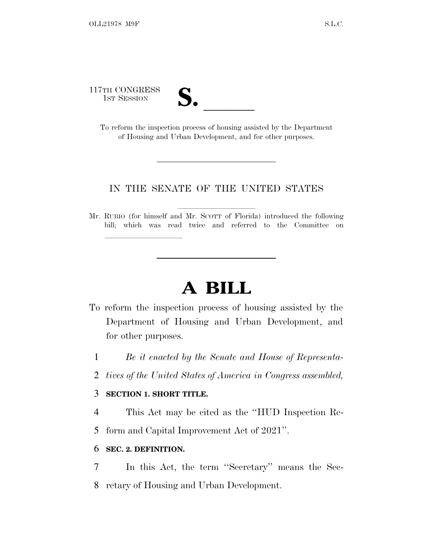117TH CONGRESS



TH CONGRESS<br>
1ST SESSION<br>
To reform the inspection process of housing assisted by the Department of Housing and Urban Development, and for other purposes.

### IN THE SENATE OF THE UNITED STATES

Mr. RUBIO (for himself and Mr. SCOTT of Florida) introduced the following bill; which was read twice and referred to the Committee on

# **A BILL**

- To reform the inspection process of housing assisted by the Department of Housing and Urban Development, and for other purposes.
	- 1 *Be it enacted by the Senate and House of Representa-*
	- 2 *tives of the United States of America in Congress assembled,*

## 3 **SECTION 1. SHORT TITLE.**

lla se al consegue de la consegue de la consegue de la consegue de la consegue de la consegue de la consegue d<br>La consegue de la consegue de la consegue de la consegue de la consegue de la consegue de la consegue de la co

- 4 This Act may be cited as the ''HUD Inspection Re-
- 5 form and Capital Improvement Act of 2021''.

### 6 **SEC. 2. DEFINITION.**

7 In this Act, the term ''Secretary'' means the Sec-8 retary of Housing and Urban Development.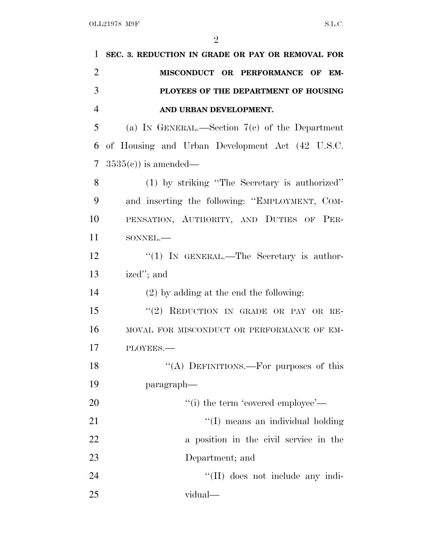| 1              | SEC. 3. REDUCTION IN GRADE OR PAY OR REMOVAL FOR |
|----------------|--------------------------------------------------|
| $\overline{2}$ | MISCONDUCT OR PERFORMANCE OF EM-                 |
| 3              | PLOYEES OF THE DEPARTMENT OF HOUSING             |
| $\overline{4}$ | AND URBAN DEVELOPMENT.                           |
| 5              | (a) IN GENERAL.—Section $7(c)$ of the Department |
| 6              | of Housing and Urban Development Act (42 U.S.C.  |
| 7              | $3535(e)$ is amended—                            |
| 8              | (1) by striking "The Secretary is authorized"    |
| 9              | and inserting the following: "EMPLOYMENT, COM-   |
| 10             | PENSATION, AUTHORITY, AND DUTIES OF PER-         |
| 11             | SONNEL.-                                         |
| 12             | "(1) IN GENERAL.—The Secretary is author-        |
| 13             | ized"; and                                       |
| 14             | $(2)$ by adding at the end the following:        |
| 15             | "(2) REDUCTION IN GRADE OR PAY OR RE-            |
| 16             | MOVAL FOR MISCONDUCT OR PERFORMANCE OF EM-       |
| 17             | PLOYEES.-                                        |
| 18             | "(A) DEFINITIONS.—For purposes of this           |
| 19             | paragraph-                                       |
| 20             | "(i) the term 'covered employee'—                |
| 21             | "(I) means an individual holding                 |
| 22             | a position in the civil service in the           |
| 23             | Department; and                                  |
| 24             | "(II) does not include any indi-                 |
| 25             | vidual—                                          |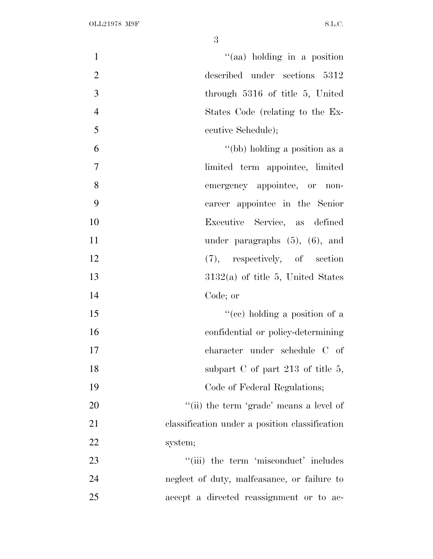| $\mathbf{1}$   | "(aa) holding in a position                    |
|----------------|------------------------------------------------|
| $\overline{2}$ | described under sections 5312                  |
| 3              | through 5316 of title 5, United                |
| $\overline{4}$ | States Code (relating to the Ex-               |
| 5              | ecutive Schedule);                             |
| 6              | "(bb) holding a position as a                  |
| 7              | limited term appointee, limited                |
| 8              | emergency appointee, or non-                   |
| 9              | career appointee in the Senior                 |
| 10             | Executive Service, as defined                  |
| 11             | under paragraphs $(5)$ , $(6)$ , and           |
| 12             | $(7)$ , respectively, of section               |
| 13             | $3132(a)$ of title 5, United States            |
| 14             | Code; or                                       |
| 15             | "(ce) holding a position of a                  |
| 16             | confidential or policy-determining             |
| 17             | character under schedule C of                  |
| 18             | subpart $C$ of part 213 of title 5,            |
| 19             | Code of Federal Regulations;                   |
| 20             | "(ii) the term 'grade' means a level of        |
| 21             | classification under a position classification |
| 22             | system;                                        |
| 23             | "(iii) the term 'misconduct' includes          |
| 24             | neglect of duty, malfeasance, or failure to    |
| 25             | accept a directed reassignment or to ac-       |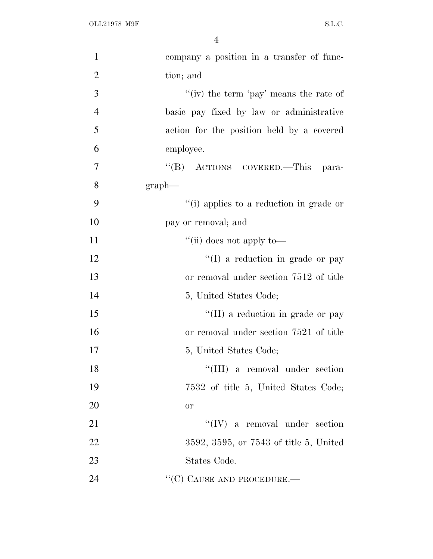| $\mathbf{1}$   | company a position in a transfer of func- |
|----------------|-------------------------------------------|
| $\overline{2}$ | tion; and                                 |
| 3              | "(iv) the term 'pay' means the rate of    |
| $\overline{4}$ | basic pay fixed by law or administrative  |
| 5              | action for the position held by a covered |
| 6              | employee.                                 |
| $\tau$         | "(B) ACTIONS COVERED.—This para-          |
| 8              | $graph$ —                                 |
| 9              | "(i) applies to a reduction in grade or   |
| 10             | pay or removal; and                       |
| 11             | "(ii) does not apply to—                  |
| 12             | $\lq\lq$ a reduction in grade or pay      |
| 13             | or removal under section 7512 of title    |
| 14             | 5, United States Code;                    |
| 15             | $\lq\lq$ (II) a reduction in grade or pay |
| 16             | or removal under section 7521 of title    |
| 17             | 5, United States Code;                    |
| 18             | "(III) a removal under section            |
| 19             | 7532 of title 5, United States Code;      |
| 20             | or                                        |
| 21             | $``(IV)$ a removal under section          |
| 22             | 3592, 3595, or 7543 of title 5, United    |
| 23             | States Code.                              |
| 24             | "(C) CAUSE AND PROCEDURE.—                |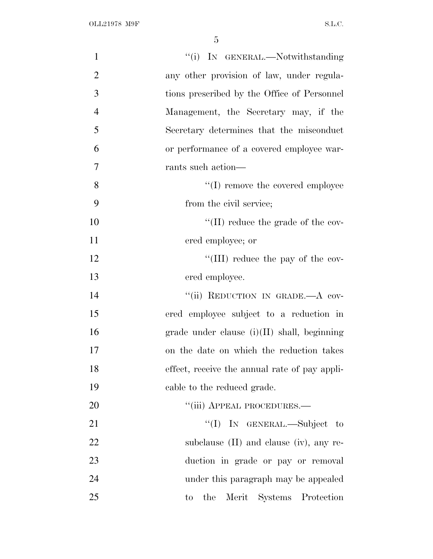| $\mathbf{1}$   | "(i) IN GENERAL.—Notwithstanding              |
|----------------|-----------------------------------------------|
| $\overline{2}$ | any other provision of law, under regula-     |
| 3              | tions prescribed by the Office of Personnel   |
| $\overline{4}$ | Management, the Secretary may, if the         |
| 5              | Secretary determines that the misconduct      |
| 6              | or performance of a covered employee war-     |
| 7              | rants such action—                            |
| 8              | $\lq\lq$ (I) remove the covered employee      |
| 9              | from the civil service;                       |
| 10             | $\lq\lq$ (II) reduce the grade of the cov-    |
| 11             | ered employee; or                             |
| 12             | "(III) reduce the pay of the cov-             |
| 13             | ered employee.                                |
| 14             | "(ii) REDUCTION IN GRADE.—A cov-              |
| 15             | ered employee subject to a reduction in       |
| 16             | grade under clause (i)(II) shall, beginning   |
| 17             | on the date on which the reduction takes      |
| 18             | effect, receive the annual rate of pay appli- |
| 19             | cable to the reduced grade.                   |
| 20             | "(iii) APPEAL PROCEDURES.—                    |
| 21             | "(I) IN GENERAL.—Subject to                   |
| 22             | subclause $(II)$ and clause $(iv)$ , any re-  |
| 23             | duction in grade or pay or removal            |
| 24             | under this paragraph may be appealed          |
| 25             | the<br>Merit Systems Protection<br>$\rm{to}$  |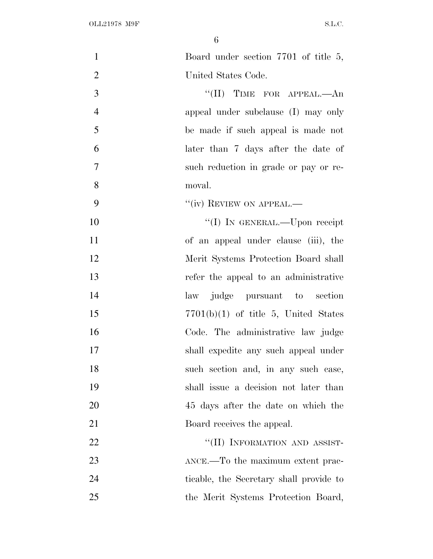| $\mathbf{1}$   | Board under section 7701 of title 5,    |
|----------------|-----------------------------------------|
| $\overline{2}$ | United States Code.                     |
| 3              | $``(II)$ TIME FOR APPEAL.—An            |
| $\overline{4}$ | appeal under subclause (I) may only     |
| 5              | be made if such appeal is made not      |
| 6              | later than 7 days after the date of     |
| 7              | such reduction in grade or pay or re-   |
| 8              | moval.                                  |
| 9              | "(iv) REVIEW ON APPEAL.—                |
| 10             | "(I) IN GENERAL.—Upon receipt           |
| 11             | of an appeal under clause (iii), the    |
| 12             | Merit Systems Protection Board shall    |
| 13             | refer the appeal to an administrative   |
| 14             | judge pursuant to section<br>law        |
| 15             | $7701(b)(1)$ of title 5, United States  |
| 16             | Code. The administrative law judge      |
| 17             | shall expedite any such appeal under    |
| 18             | such section and, in any such case,     |
| 19             | shall issue a decision not later than   |
| 20             | 45 days after the date on which the     |
| 21             | Board receives the appeal.              |
| 22             | "(II) INFORMATION AND ASSIST-           |
| 23             | ANCE.—To the maximum extent prac-       |
| 24             | ticable, the Secretary shall provide to |
| 25             | the Merit Systems Protection Board,     |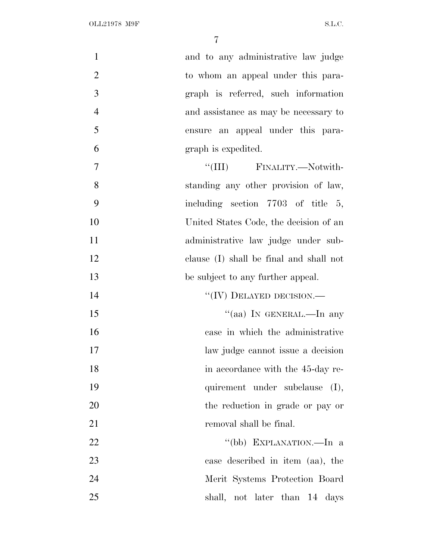| $\mathbf{1}$   | and to any administrative law judge     |
|----------------|-----------------------------------------|
| $\overline{2}$ | to whom an appeal under this para-      |
| 3              | graph is referred, such information     |
| $\overline{4}$ | and assistance as may be necessary to   |
| 5              | ensure an appeal under this para-       |
| 6              | graph is expedited.                     |
| 7              | "(III) FINALITY.—Notwith-               |
| 8              | standing any other provision of law,    |
| 9              | including section $7703$ of title 5,    |
| 10             | United States Code, the decision of an  |
| 11             | administrative law judge under sub-     |
| 12             | clause (I) shall be final and shall not |
| 13             | be subject to any further appeal.       |
| 14             | $``(IV)$ DELAYED DECISION.—             |
| 15             | "(aa) IN GENERAL.—In any                |
| 16             | case in which the administrative        |
| 17             | law judge cannot issue a decision       |
| 18             | in accordance with the 45-day re-       |
| 19             | quirement under subclause (I),          |
| 20             | the reduction in grade or pay or        |
| 21             | removal shall be final.                 |
| 22             | "(bb) EXPLANATION.—In a                 |
| 23             | case described in item (aa), the        |
| 24             | Merit Systems Protection Board          |
| 25             | shall, not later than 14 days           |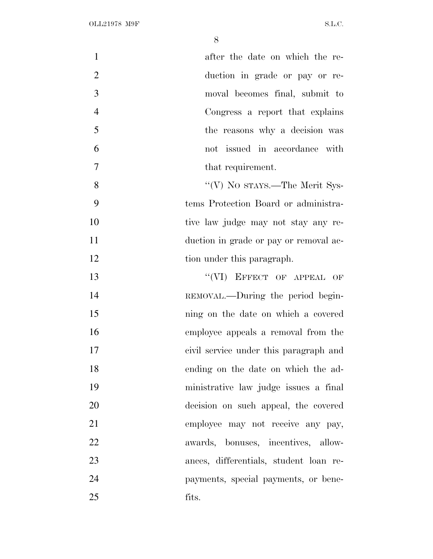| $\mathbf{1}$   | after the date on which the re-        |
|----------------|----------------------------------------|
| $\overline{2}$ | duction in grade or pay or re-         |
| 3              | moval becomes final, submit to         |
| $\overline{4}$ | Congress a report that explains        |
| 5              | the reasons why a decision was         |
| 6              | not issued in accordance with          |
| 7              | that requirement.                      |
| 8              | "(V) No stays.—The Merit Sys-          |
| 9              | tems Protection Board or administra-   |
| 10             | tive law judge may not stay any re-    |
| 11             | duction in grade or pay or removal ac- |
| 12             | tion under this paragraph.             |
| 13             | "(VI) EFFECT OF APPEAL OF              |
| 14             | REMOVAL.—During the period begin-      |
| 15             | ning on the date on which a covered    |
| 16             | employee appeals a removal from the    |
| 17             | civil service under this paragraph and |
| 18             | ending on the date on which the ad-    |
| 19             | ministrative law judge issues a final  |
| 20             | decision on such appeal, the covered   |
| 21             | employee may not receive any pay,      |
| 22             | awards, bonuses, incentives, allow-    |
| 23             | ances, differentials, student loan re- |
| 24             | payments, special payments, or bene-   |
| 25             | fits.                                  |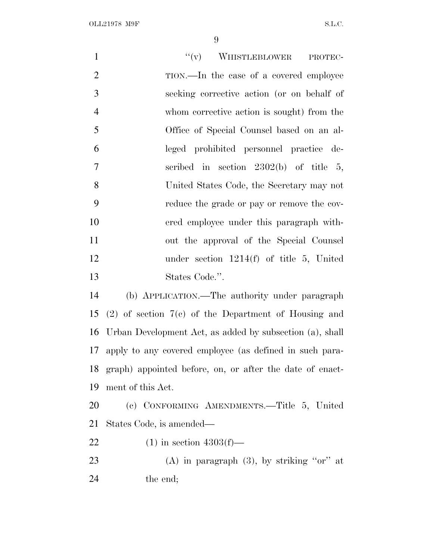| $\mathbf{1}$   | $``(v)$ WHISTLEBLOWER<br>PROTEC-                            |
|----------------|-------------------------------------------------------------|
| $\mathfrak{2}$ | TION.—In the case of a covered employee                     |
| 3              | seeking corrective action (or on behalf of                  |
| $\overline{4}$ | whom corrective action is sought) from the                  |
| 5              | Office of Special Counsel based on an al-                   |
| 6              | leged prohibited personnel practice de-                     |
| $\overline{7}$ | scribed in section $2302(b)$ of title 5,                    |
| 8              | United States Code, the Secretary may not                   |
| 9              | reduce the grade or pay or remove the cov-                  |
| 10             | ered employee under this paragraph with-                    |
| 11             | out the approval of the Special Counsel                     |
| 12             | under section $1214(f)$ of title 5, United                  |
| 13             | States Code.".                                              |
| 14             | (b) APPLICATION.—The authority under paragraph              |
| 15             | $(2)$ of section $7(e)$ of the Department of Housing and    |
| 16             | Urban Development Act, as added by subsection (a), shall    |
| 17             | apply to any covered employee (as defined in such para-     |
|                | 18 graph) appointed before, on, or after the date of enact- |
| 19             | ment of this Act.                                           |
| 20             | (c) CONFORMING AMENDMENTS.—Title 5, United                  |
| 21             | States Code, is amended—                                    |
| 22             | $(1)$ in section 4303(f)—                                   |
| 23             | (A) in paragraph $(3)$ , by striking "or" at                |
| 24             | the end;                                                    |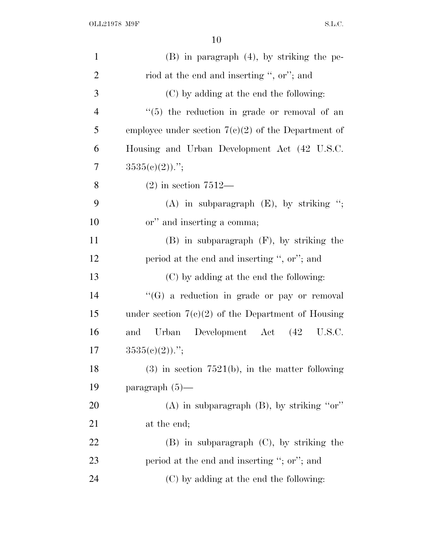| $\mathbf{1}$   | $(B)$ in paragraph $(4)$ , by striking the pe-        |
|----------------|-------------------------------------------------------|
| $\overline{2}$ | riod at the end and inserting ", or"; and             |
| 3              | (C) by adding at the end the following:               |
| $\overline{4}$ | $\lq(5)$ the reduction in grade or removal of an      |
| 5              | employee under section $7(c)(2)$ of the Department of |
| 6              | Housing and Urban Development Act (42 U.S.C.          |
| 7              | $3535(e)(2)$ .";                                      |
| 8              | $(2)$ in section $7512-$                              |
| 9              | (A) in subparagraph $(E)$ , by striking ";            |
| 10             | or" and inserting a comma;                            |
| 11             | $(B)$ in subparagraph $(F)$ , by striking the         |
| 12             | period at the end and inserting ", or"; and           |
| 13             | (C) by adding at the end the following:               |
| 14             | "(G) a reduction in grade or pay or removal           |
| 15             | under section $7(c)(2)$ of the Department of Housing  |
| 16             | Development Act (42 U.S.C.<br>Urban<br>and            |
| 17             | $3535(c)(2)$ .";                                      |
| 18             | $(3)$ in section 7521(b), in the matter following     |
| 19             | paragraph $(5)$ —                                     |
| <b>20</b>      | $(A)$ in subparagraph $(B)$ , by striking "or"        |
| 21             | at the end;                                           |
| <u>22</u>      | $(B)$ in subparagraph $(C)$ , by striking the         |
| 23             | period at the end and inserting "; or"; and           |
|                |                                                       |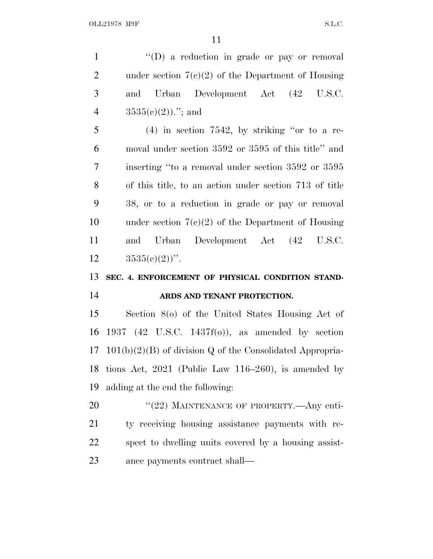1 "'(D) a reduction in grade or pay or removal 2 under section  $7(c)(2)$  of the Department of Housing and Urban Development Act (42 U.S.C.  $3535(e)(2)$ )."; and (4) in section 7542, by striking ''or to a re- moval under section 3592 or 3595 of this title'' and inserting ''to a removal under section 3592 or 3595 of this title, to an action under section 713 of title 38, or to a reduction in grade or pay or removal under section 7(c)(2) of the Department of Housing and Urban Development Act (42 U.S.C.  $3535(e)(2)$ ". **SEC. 4. ENFORCEMENT OF PHYSICAL CONDITION STAND- ARDS AND TENANT PROTECTION.** Section 8(o) of the United States Housing Act of 1937 (42 U.S.C. 1437f(o)), as amended by section 101(b)(2)(B) of division Q of the Consolidated Appropria- tions Act, 2021 (Public Law 116–260), is amended by adding at the end the following:

20 "(22) MAINTENANCE OF PROPERTY.—Any enti- ty receiving housing assistance payments with re- spect to dwelling units covered by a housing assist-ance payments contract shall—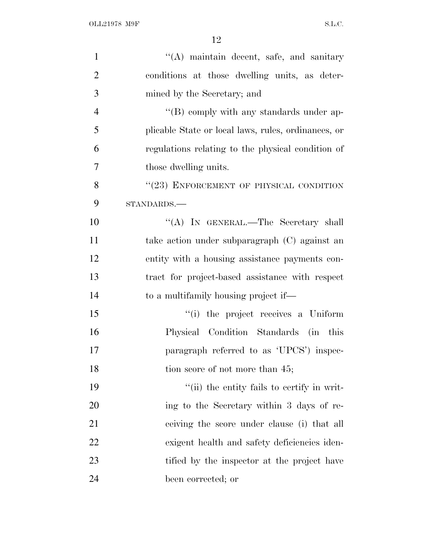| $\mathbf{1}$   | "(A) maintain decent, safe, and sanitary            |
|----------------|-----------------------------------------------------|
| $\overline{2}$ | conditions at those dwelling units, as deter-       |
| 3              | mined by the Secretary; and                         |
| $\overline{4}$ | $\lq\lq (B)$ comply with any standards under ap-    |
| 5              | plicable State or local laws, rules, ordinances, or |
| 6              | regulations relating to the physical condition of   |
| $\tau$         | those dwelling units.                               |
| 8              | "(23) ENFORCEMENT OF PHYSICAL CONDITION             |
| 9              | STANDARDS.-                                         |
| 10             | "(A) IN GENERAL.—The Secretary shall                |
| 11             | take action under subparagraph (C) against an       |
| 12             | entity with a housing assistance payments con-      |
| 13             | tract for project-based assistance with respect     |
| 14             | to a multifamily housing project if—                |
| 15             | "(i) the project receives a Uniform                 |
| 16             | Physical Condition Standards (in this               |
| 17             | paragraph referred to as 'UPCS') inspec-            |
| 18             | tion score of not more than 45;                     |
| 19             | "(ii) the entity fails to certify in writ-          |
| 20             | ing to the Secretary within 3 days of re-           |
| 21             | ceiving the score under clause (i) that all         |
| 22             | exigent health and safety deficiencies iden-        |
| 23             | tified by the inspector at the project have         |
| 24             | been corrected; or                                  |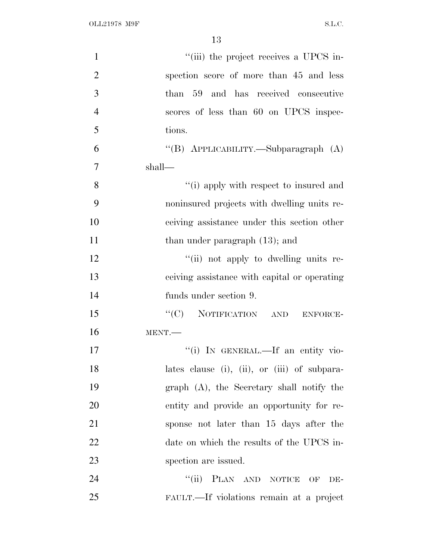OLL21978 M9F S.L.C.

| $\mathbf{1}$   | "(iii) the project receives a UPCS in-         |
|----------------|------------------------------------------------|
| $\overline{2}$ | spection score of more than 45 and less        |
| $\mathfrak{Z}$ | than 59 and has received consecutive           |
| $\overline{4}$ | scores of less than 60 on UPCS inspec-         |
| 5              | tions.                                         |
| 6              | "(B) APPLICABILITY.—Subparagraph (A)           |
| $\overline{7}$ | shall—                                         |
| 8              | "(i) apply with respect to insured and         |
| 9              | noninsured projects with dwelling units re-    |
| 10             | ceiving assistance under this section other    |
| 11             | than under paragraph $(13)$ ; and              |
| 12             | "(ii) not apply to dwelling units re-          |
| 13             | ceiving assistance with capital or operating   |
| 14             | funds under section 9.                         |
| 15             | "(C) NOTIFICATION AND<br>ENFORCE-              |
| 16             | MENT.                                          |
| 17             | "(i) IN GENERAL.—If an entity vio-             |
| 18             | lates clause (i), (ii), or (iii) of subpara-   |
| 19             | $graph$ $(A)$ , the Secretary shall notify the |
| 20             | entity and provide an opportunity for re-      |
| 21             | sponse not later than 15 days after the        |
| 22             | date on which the results of the UPCS in-      |
| 23             | spection are issued.                           |
| 24             | "(ii) PLAN AND NOTICE OF<br>DE-                |
| 25             | FAULT.—If violations remain at a project       |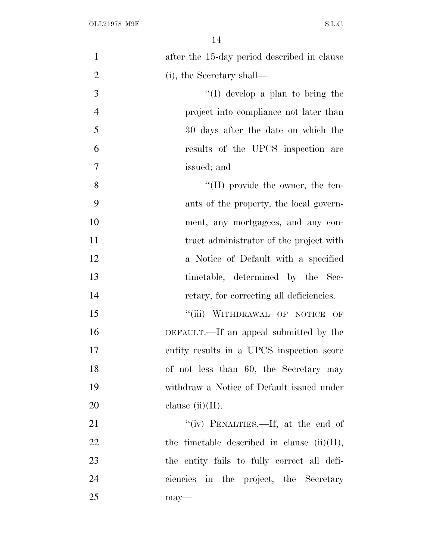| $\mathbf{1}$   | after the 15-day period described in clause    |
|----------------|------------------------------------------------|
| $\overline{2}$ | (i), the Secretary shall—                      |
| 3              | "(I) develop a plan to bring the               |
| $\overline{4}$ | project into compliance not later than         |
| 5              | 30 days after the date on which the            |
| 6              | results of the UPCS inspection are             |
| $\overline{7}$ | issued; and                                    |
| 8              | $\lq\lq$ (II) provide the owner, the ten-      |
| 9              | ants of the property, the local govern-        |
| 10             | ment, any mortgagees, and any con-             |
| 11             | tract administrator of the project with        |
| 12             | a Notice of Default with a specified           |
| 13             | timetable, determined by the Sec-              |
| 14             | retary, for correcting all deficiencies.       |
| 15             | "(iii) WITHDRAWAL OF NOTICE<br>OF              |
| 16             | DEFAULT.—If an appeal submitted by the         |
| 17             | entity results in a UPCS inspection score      |
| 18             | of not less than 60, the Secretary may         |
| 19             | withdraw a Notice of Default issued under      |
| 20             | clause $(ii)(II)$ .                            |
| 21             | "(iv) PENALTIES.—If, at the end of             |
| 22             | the timetable described in clause $(ii)(II)$ , |
| 23             | the entity fails to fully correct all defi-    |
| 24             | ciencies in the project, the Secretary         |
| 25             | $may-$                                         |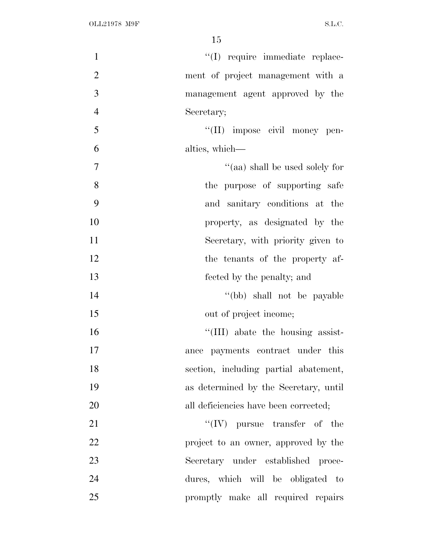| $\mathbf{1}$   | "(I) require immediate replace-       |
|----------------|---------------------------------------|
| $\overline{2}$ | ment of project management with a     |
| 3              | management agent approved by the      |
| $\overline{4}$ | Secretary;                            |
| 5              | "(II) impose civil money pen-         |
| 6              | alties, which—                        |
| 7              | "(aa) shall be used solely for        |
| 8              | the purpose of supporting safe        |
| 9              | and sanitary conditions at the        |
| 10             | property, as designated by the        |
| 11             | Secretary, with priority given to     |
| 12             | the tenants of the property af-       |
| 13             | fected by the penalty; and            |
| 14             | "(bb) shall not be payable            |
| 15             | out of project income;                |
| 16             | "(III) abate the housing assist-      |
| 17             | ance payments contract under this     |
| 18             | section, including partial abatement, |
| 19             | as determined by the Secretary, until |
| 20             | all deficiencies have been corrected; |
| 21             | $\lq\lq (IV)$ pursue transfer of the  |
| 22             | project to an owner, approved by the  |
| 23             | Secretary under established proce-    |
| 24             | dures, which will be obligated to     |
| 25             | promptly make all required repairs    |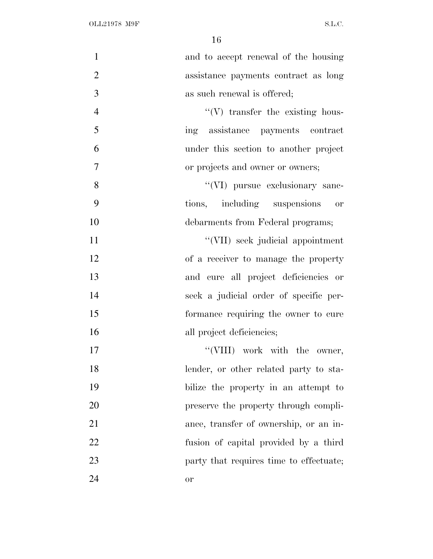| $\mathbf{1}$   | and to accept renewal of the housing    |
|----------------|-----------------------------------------|
| $\overline{2}$ | assistance payments contract as long    |
| 3              | as such renewal is offered;             |
| $\overline{4}$ | $\lq\lq$ transfer the existing hous-    |
| 5              | ing assistance payments contract        |
| 6              | under this section to another project   |
| 7              | or projects and owner or owners;        |
| 8              | "(VI) pursue exclusionary sanc-         |
| 9              | tions, including suspensions<br>or      |
| 10             | debarments from Federal programs;       |
| 11             | "(VII) seek judicial appointment        |
| 12             | of a receiver to manage the property    |
| 13             | and cure all project deficiencies or    |
| 14             | seek a judicial order of specific per-  |
| 15             | formance requiring the owner to cure    |
| 16             | all project deficiencies;               |
| 17             | "(VIII) work with the owner,            |
| 18             | lender, or other related party to sta-  |
| 19             | bilize the property in an attempt to    |
| 20             | preserve the property through compli-   |
| 21             | ance, transfer of ownership, or an in-  |
| 22             | fusion of capital provided by a third   |
| 23             | party that requires time to effectuate; |
| 24             | <b>or</b>                               |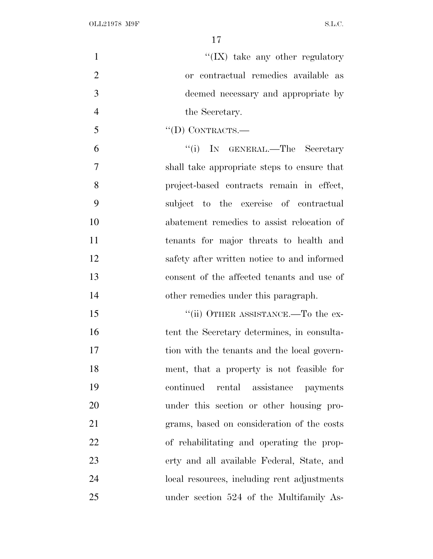$\mathcal{C}(\mathbf{IX})$  take any other regulatory or contractual remedies available as deemed necessary and appropriate by 4 the Secretary.  $\mathcal{F}$   $\qquad \qquad \text{``(D) CONTRACTS.}$ 6 "(i) IN GENERAL.—The Secretary shall take appropriate steps to ensure that project-based contracts remain in effect, subject to the exercise of contractual abatement remedies to assist relocation of tenants for major threats to health and safety after written notice to and informed consent of the affected tenants and use of other remedies under this paragraph. 15 ""(ii) OTHER ASSISTANCE.—To the ex-16 tent the Secretary determines, in consulta- tion with the tenants and the local govern- ment, that a property is not feasible for continued rental assistance payments under this section or other housing pro- grams, based on consideration of the costs of rehabilitating and operating the prop- erty and all available Federal, State, and local resources, including rent adjustments under section 524 of the Multifamily As-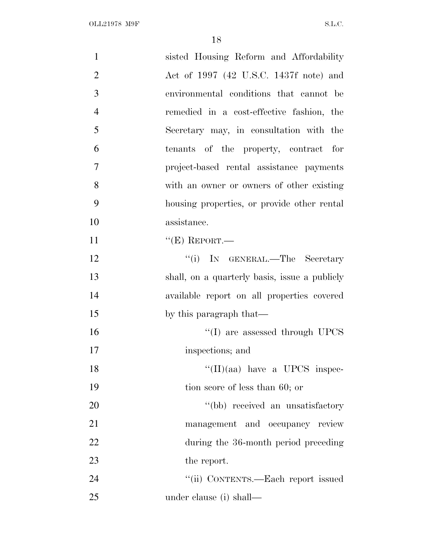| $\mathbf{1}$   | sisted Housing Reform and Affordability       |
|----------------|-----------------------------------------------|
| $\overline{2}$ | Act of 1997 (42 U.S.C. 1437f note) and        |
| 3              | environmental conditions that cannot be       |
| $\overline{4}$ | remedied in a cost-effective fashion, the     |
| 5              | Secretary may, in consultation with the       |
| 6              | tenants of the property, contract for         |
| 7              | project-based rental assistance payments      |
| 8              | with an owner or owners of other existing     |
| 9              | housing properties, or provide other rental   |
| 10             | assistance.                                   |
| 11             | $``(E)$ REPORT.—                              |
| 12             | "(i) IN GENERAL.—The Secretary                |
| 13             | shall, on a quarterly basis, issue a publicly |
| 14             | available report on all properties covered    |
| 15             | by this paragraph that—                       |
| 16             | $\lq\lq$ (I) are assessed through UPCS        |
| 17             | inspections; and                              |
| 18             | $``(II)(aa)$ have a UPCS inspec-              |
| 19             | tion score of less than 60; or                |
| 20             | "(bb) received an unsatisfactory              |
| 21             | management and occupancy review               |
| 22             | during the 36-month period preceding          |
| 23             | the report.                                   |
| 24             | "(ii) CONTENTS.—Each report issued            |
| 25             | under clause (i) shall—                       |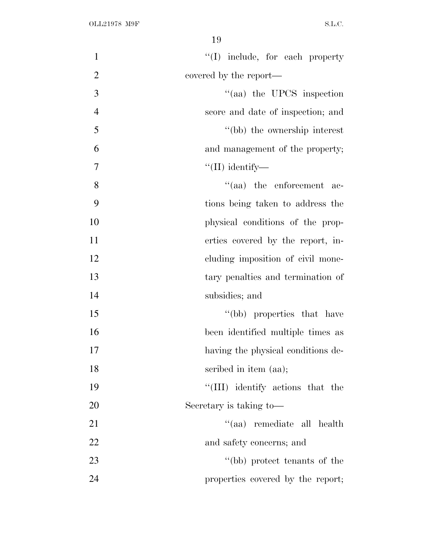| $\mathbf{1}$   | $\lq\lq$ include, for each property |
|----------------|-------------------------------------|
| $\overline{2}$ | covered by the report—              |
| 3              | "(aa) the UPCS inspection           |
| $\overline{4}$ | score and date of inspection; and   |
| 5              | "(bb) the ownership interest        |
| 6              | and management of the property;     |
| 7              | $\lq\lq$ (II) identify—             |
| 8              | $\cdot$ (aa) the enforcement ac-    |
| 9              | tions being taken to address the    |
| 10             | physical conditions of the prop-    |
| 11             | erties covered by the report, in-   |
| 12             | cluding imposition of civil mone-   |
| 13             | tary penalties and termination of   |
| 14             | subsidies; and                      |
| 15             | "(bb) properties that have          |
| 16             | been identified multiple times as   |
| 17             | having the physical conditions de-  |
| 18             | scribed in item (aa);               |
| 19             | "(III) identify actions that the    |
| 20             | Secretary is taking to-             |
| 21             | "(aa) remediate all health          |
| 22             | and safety concerns; and            |
| 23             | "(bb) protect tenants of the        |
| 24             | properties covered by the report;   |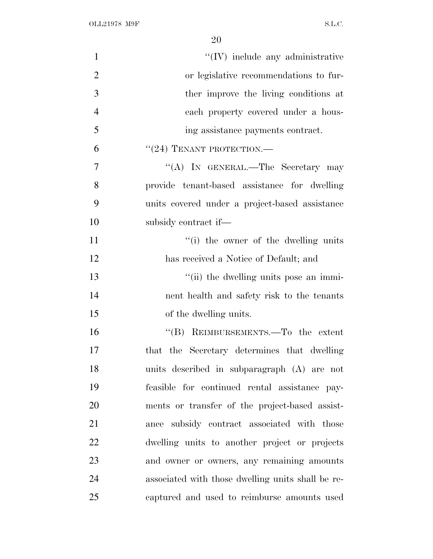| $\mathbf{1}$   | $\lq\lq$ (IV) include any administrative          |
|----------------|---------------------------------------------------|
| $\overline{2}$ | or legislative recommendations to fur-            |
| 3              | ther improve the living conditions at             |
| $\overline{4}$ | each property covered under a hous-               |
| 5              | ing assistance payments contract.                 |
| 6              | $``(24)$ TENANT PROTECTION.—                      |
| 7              | "(A) IN GENERAL.—The Secretary may                |
| 8              | provide tenant-based assistance for dwelling      |
| 9              | units covered under a project-based assistance    |
| 10             | subsidy contract if—                              |
| 11             | "(i) the owner of the dwelling units              |
| 12             | has received a Notice of Default; and             |
| 13             | "(ii) the dwelling units pose an immi-            |
| 14             | nent health and safety risk to the tenants        |
| 15             | of the dwelling units.                            |
| 16             | "(B) REIMBURSEMENTS.—To the extent                |
| 17             | that the Secretary determines that dwelling       |
| 18             | units described in subparagraph (A) are not       |
| 19             | feasible for continued rental assistance pay-     |
| 20             | ments or transfer of the project-based assist-    |
| 21             | ance subsidy contract associated with those       |
| 22             | dwelling units to another project or projects     |
| 23             | and owner or owners, any remaining amounts        |
| 24             | associated with those dwelling units shall be re- |
| 25             | captured and used to reimburse amounts used       |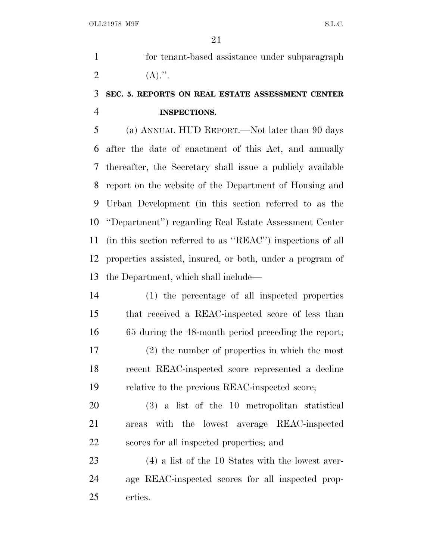for tenant-based assistance under subparagraph 2  $(A).$ ".

# **SEC. 5. REPORTS ON REAL ESTATE ASSESSMENT CENTER INSPECTIONS.**

 (a) ANNUAL HUD REPORT.—Not later than 90 days after the date of enactment of this Act, and annually thereafter, the Secretary shall issue a publicly available report on the website of the Department of Housing and Urban Development (in this section referred to as the ''Department'') regarding Real Estate Assessment Center (in this section referred to as ''REAC'') inspections of all properties assisted, insured, or both, under a program of the Department, which shall include—

 (1) the percentage of all inspected properties that received a REAC-inspected score of less than 65 during the 48-month period preceding the report; (2) the number of properties in which the most recent REAC-inspected score represented a decline relative to the previous REAC-inspected score;

 (3) a list of the 10 metropolitan statistical areas with the lowest average REAC-inspected scores for all inspected properties; and

 (4) a list of the 10 States with the lowest aver- age REAC-inspected scores for all inspected prop-erties.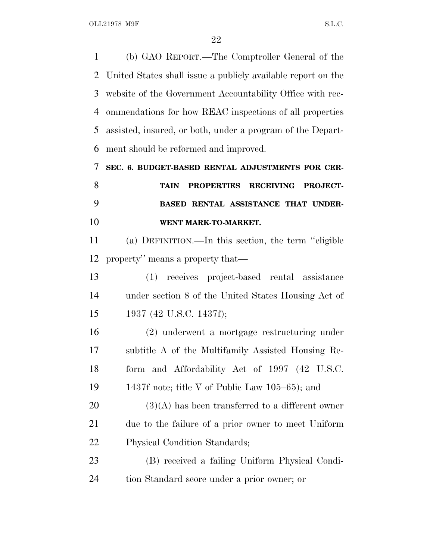(b) GAO REPORT.—The Comptroller General of the United States shall issue a publicly available report on the website of the Government Accountability Office with rec- ommendations for how REAC inspections of all properties assisted, insured, or both, under a program of the Depart- ment should be reformed and improved. **SEC. 6. BUDGET-BASED RENTAL ADJUSTMENTS FOR CER-**

 **TAIN PROPERTIES RECEIVING PROJECT- BASED RENTAL ASSISTANCE THAT UNDER-WENT MARK-TO-MARKET.**

 (a) DEFINITION.—In this section, the term ''eligible property'' means a property that—

 (1) receives project-based rental assistance under section 8 of the United States Housing Act of 1937 (42 U.S.C. 1437f);

 (2) underwent a mortgage restructuring under subtitle A of the Multifamily Assisted Housing Re- form and Affordability Act of 1997 (42 U.S.C. 1437f note; title V of Public Law 105–65); and

 (3)(A) has been transferred to a different owner due to the failure of a prior owner to meet Uniform Physical Condition Standards;

 (B) received a failing Uniform Physical Condi-tion Standard score under a prior owner; or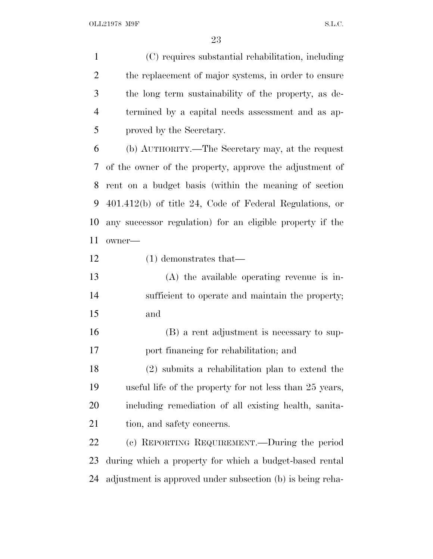(C) requires substantial rehabilitation, including the replacement of major systems, in order to ensure the long term sustainability of the property, as de- termined by a capital needs assessment and as ap-proved by the Secretary.

 (b) AUTHORITY.—The Secretary may, at the request of the owner of the property, approve the adjustment of rent on a budget basis (within the meaning of section 401.412(b) of title 24, Code of Federal Regulations, or any successor regulation) for an eligible property if the owner—

(1) demonstrates that—

 (A) the available operating revenue is in- sufficient to operate and maintain the property; and

 (B) a rent adjustment is necessary to sup-port financing for rehabilitation; and

 (2) submits a rehabilitation plan to extend the useful life of the property for not less than 25 years, including remediation of all existing health, sanita-21 tion, and safety concerns.

 (c) REPORTING REQUIREMENT.—During the period during which a property for which a budget-based rental adjustment is approved under subsection (b) is being reha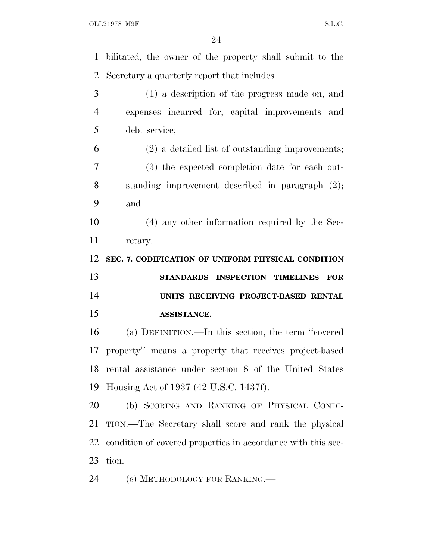OLL21978 M9F S.L.C.

| $\mathbf{1}$               | bilitated, the owner of the property shall submit to the     |
|----------------------------|--------------------------------------------------------------|
| $\overline{2}$             | Secretary a quarterly report that includes—                  |
| 3                          | (1) a description of the progress made on, and               |
| $\overline{4}$             | expenses incurred for, capital improvements and              |
| 5                          | debt service;                                                |
| 6                          | (2) a detailed list of outstanding improvements;             |
| 7                          | (3) the expected completion date for each out-               |
| 8                          | standing improvement described in paragraph $(2)$ ;          |
| 9                          | and                                                          |
| 10                         | (4) any other information required by the Sec-               |
| 11                         | retary.                                                      |
| 12                         | SEC. 7. CODIFICATION OF UNIFORM PHYSICAL CONDITION           |
|                            |                                                              |
|                            | STANDARDS INSPECTION TIMELINES<br><b>FOR</b>                 |
|                            | UNITS RECEIVING PROJECT-BASED RENTAL                         |
|                            | ASSISTANCE.                                                  |
|                            | (a) DEFINITION.—In this section, the term "covered           |
| 13<br>14<br>15<br>16<br>17 | property" means a property that receives project-based       |
|                            | 18 rental assistance under section 8 of the United States    |
| 19                         | Housing Act of 1937 (42 U.S.C. 1437f).                       |
| 20                         | (b) SCORING AND RANKING OF PHYSICAL CONDI-                   |
| 21                         | TION.—The Secretary shall score and rank the physical        |
| 22                         | condition of covered properties in accordance with this sec- |
| 23                         | tion.                                                        |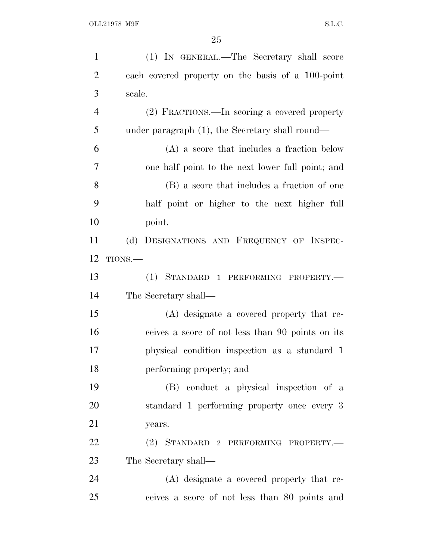| $\mathbf{1}$   | (1) IN GENERAL.—The Secretary shall score         |
|----------------|---------------------------------------------------|
| $\overline{2}$ | each covered property on the basis of a 100-point |
| 3              | scale.                                            |
| $\overline{4}$ | (2) FRACTIONS.—In scoring a covered property      |
| 5              | under paragraph (1), the Secretary shall round—   |
| 6              | $(A)$ a score that includes a fraction below      |
| $\overline{7}$ | one half point to the next lower full point; and  |
| 8              | (B) a score that includes a fraction of one       |
| 9              | half point or higher to the next higher full      |
| 10             | point.                                            |
| 11             | (d) DESIGNATIONS AND FREQUENCY OF INSPEC-         |
| 12             | TIONS.                                            |
| 13             | (1) STANDARD 1 PERFORMING PROPERTY.-              |
| 14             | The Secretary shall—                              |
| 15             | (A) designate a covered property that re-         |
| 16             | ceives a score of not less than 90 points on its  |
| 17             | physical condition inspection as a standard 1     |
| 18             | performing property; and                          |
| 19             | (B) conduct a physical inspection of a            |
| 20             | standard 1 performing property once every 3       |
| 21             | years.                                            |
| <u>22</u>      | (2) STANDARD 2 PERFORMING PROPERTY.-              |
| 23             | The Secretary shall—                              |
| 24             | (A) designate a covered property that re-         |
| 25             | ceives a score of not less than 80 points and     |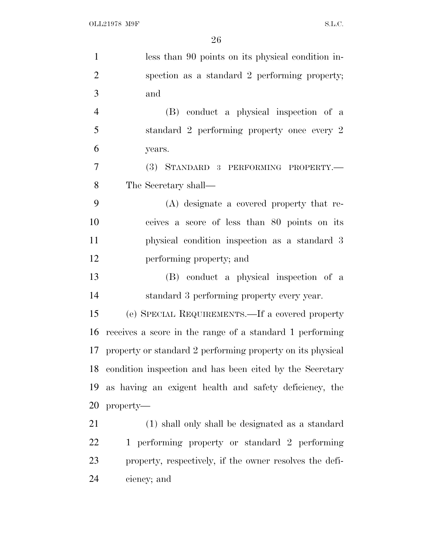| $\mathbf{1}$   | less than 90 points on its physical condition in-             |
|----------------|---------------------------------------------------------------|
| $\overline{2}$ | spection as a standard 2 performing property;                 |
| 3              | and                                                           |
| $\overline{4}$ | (B) conduct a physical inspection of a                        |
| 5              | standard 2 performing property once every 2                   |
| 6              | years.                                                        |
| $\overline{7}$ | (3) STANDARD 3 PERFORMING PROPERTY.                           |
| 8              | The Secretary shall—                                          |
| 9              | (A) designate a covered property that re-                     |
| 10             | ceives a score of less than 80 points on its                  |
| 11             | physical condition inspection as a standard 3                 |
| 12             | performing property; and                                      |
| 13             | (B) conduct a physical inspection of a                        |
| 14             | standard 3 performing property every year.                    |
| 15             | (e) SPECIAL REQUIREMENTS.—If a covered property               |
| 16             | receives a score in the range of a standard 1 performing      |
|                | 17 property or standard 2 performing property on its physical |
|                | 18 condition inspection and has been cited by the Secretary   |
| 19             | as having an exigent health and safety deficiency, the        |
| 20             | property-                                                     |
| 21             | (1) shall only shall be designated as a standard              |
| 22             | 1 performing property or standard 2 performing                |
| 23             | property, respectively, if the owner resolves the defi-       |
| 24             | ciency; and                                                   |